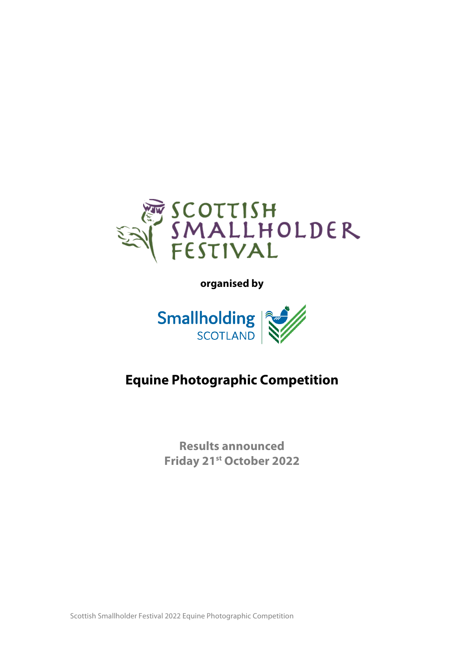

**organised by** 



# **Equine Photographic Competition**

**Results announced Friday 21st October 2022**

Scottish Smallholder Festival 2022 Equine Photographic Competition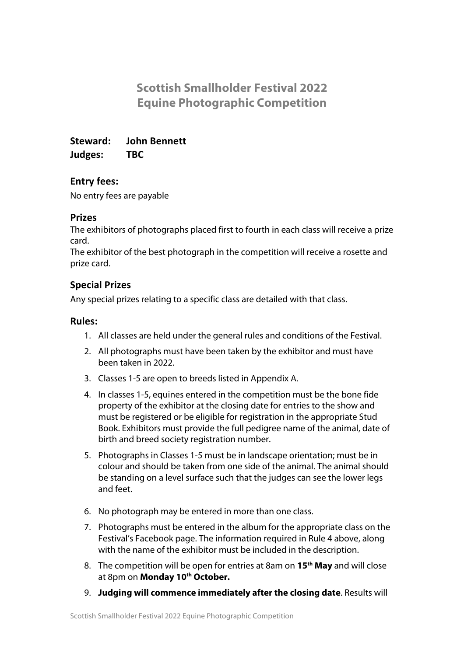## **Scottish Smallholder Festival 2022 Equine Photographic Competition**

**Steward: John Bennett Judges: TBC**

#### **Entry fees:**

No entry fees are payable

#### **Prizes**

The exhibitors of photographs placed first to fourth in each class will receive a prize card.

The exhibitor of the best photograph in the competition will receive a rosette and prize card.

### **Special Prizes**

Any special prizes relating to a specific class are detailed with that class.

#### **Rules:**

- 1. All classes are held under the general rules and conditions of the Festival.
- 2. All photographs must have been taken by the exhibitor and must have been taken in 2022.
- 3. Classes 1-5 are open to breeds listed in Appendix A.
- 4. In classes 1-5, equines entered in the competition must be the bone fide property of the exhibitor at the closing date for entries to the show and must be registered or be eligible for registration in the appropriate Stud Book. Exhibitors must provide the full pedigree name of the animal, date of birth and breed society registration number.
- 5. Photographs in Classes 1-5 must be in landscape orientation; must be in colour and should be taken from one side of the animal. The animal should be standing on a level surface such that the judges can see the lower legs and feet.
- 6. No photograph may be entered in more than one class.
- 7. Photographs must be entered in the album for the appropriate class on the Festival's Facebook page. The information required in Rule 4 above, along with the name of the exhibitor must be included in the description.
- 8. The competition will be open for entries at 8am on **15th May** and will close at 8pm on **Monday 10th October.**
- 9. **Judging will commence immediately after the closing date**. Results will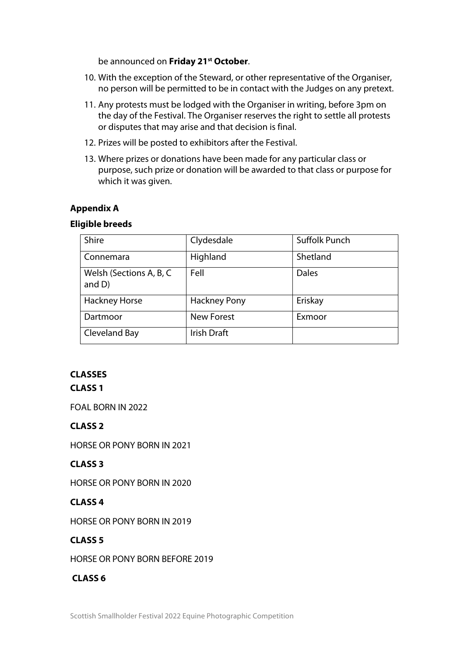be announced on **Friday 21st October**.

- 10. With the exception of the Steward, or other representative of the Organiser, no person will be permitted to be in contact with the Judges on any pretext.
- 11. Any protests must be lodged with the Organiser in writing, before 3pm on the day of the Festival. The Organiser reserves the right to settle all protests or disputes that may arise and that decision is final.
- 12. Prizes will be posted to exhibitors after the Festival.
- 13. Where prizes or donations have been made for any particular class or purpose, such prize or donation will be awarded to that class or purpose for which it was given.

#### **Appendix A**

#### **Eligible breeds**

| <b>Shire</b>                         | Clydesdale          | <b>Suffolk Punch</b> |
|--------------------------------------|---------------------|----------------------|
| Connemara                            | Highland            | Shetland             |
| Welsh (Sections A, B, C<br>and $D$ ) | Fell                | <b>Dales</b>         |
| <b>Hackney Horse</b>                 | <b>Hackney Pony</b> | Eriskay              |
| Dartmoor                             | <b>New Forest</b>   | Exmoor               |
| Cleveland Bay                        | Irish Draft         |                      |

#### **CLASSES**

#### **CLASS 1**

FOAL BORN IN 2022

#### **CLASS 2**

HORSE OR PONY BORN IN 2021

#### **CLASS 3**

HORSE OR PONY BORN IN 2020

#### **CLASS 4**

HORSE OR PONY BORN IN 2019

#### **CLASS 5**

HORSE OR PONY BORN BEFORE 2019

#### **CLASS 6**